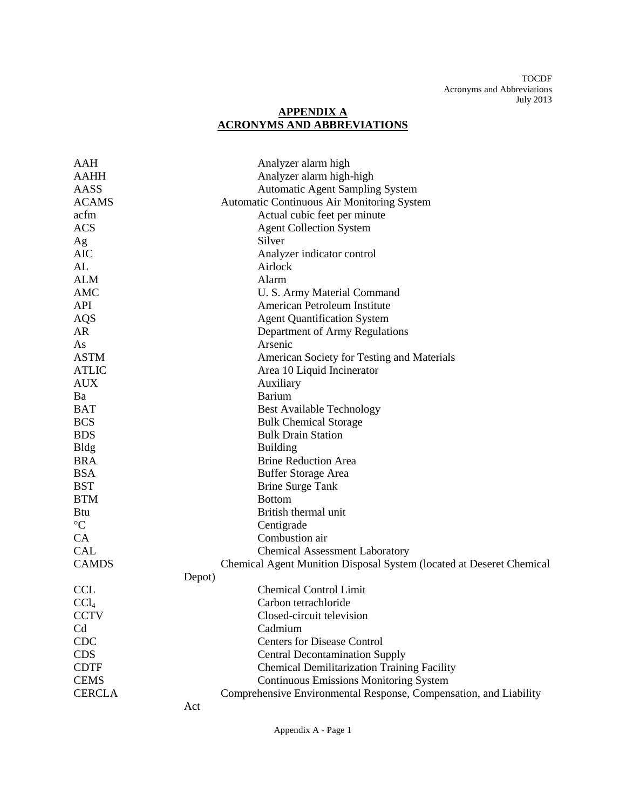## **APPENDIX A ACRONYMS AND ABBREVIATIONS**

| AAH              | Analyzer alarm high                                                  |
|------------------|----------------------------------------------------------------------|
| <b>AAHH</b>      | Analyzer alarm high-high                                             |
| AASS             | <b>Automatic Agent Sampling System</b>                               |
| <b>ACAMS</b>     | Automatic Continuous Air Monitoring System                           |
| acfm             | Actual cubic feet per minute                                         |
| <b>ACS</b>       | <b>Agent Collection System</b>                                       |
| Ag               | Silver                                                               |
| <b>AIC</b>       | Analyzer indicator control                                           |
| AL               | Airlock                                                              |
| <b>ALM</b>       | Alarm                                                                |
| AMC              | U. S. Army Material Command                                          |
| <b>API</b>       | American Petroleum Institute                                         |
| AQS              | <b>Agent Quantification System</b>                                   |
| AR               | Department of Army Regulations                                       |
| As               | Arsenic                                                              |
| <b>ASTM</b>      | American Society for Testing and Materials                           |
| <b>ATLIC</b>     | Area 10 Liquid Incinerator                                           |
| <b>AUX</b>       | Auxiliary                                                            |
| Ba               | <b>Barium</b>                                                        |
| <b>BAT</b>       | <b>Best Available Technology</b>                                     |
| <b>BCS</b>       | <b>Bulk Chemical Storage</b>                                         |
| <b>BDS</b>       | <b>Bulk Drain Station</b>                                            |
| <b>Bldg</b>      | <b>Building</b>                                                      |
| <b>BRA</b>       | <b>Brine Reduction Area</b>                                          |
| <b>BSA</b>       | <b>Buffer Storage Area</b>                                           |
| <b>BST</b>       | <b>Brine Surge Tank</b>                                              |
| <b>BTM</b>       | <b>Bottom</b>                                                        |
| Btu              | British thermal unit                                                 |
| $\rm ^{\circ}C$  | Centigrade                                                           |
| CA               | Combustion air                                                       |
| <b>CAL</b>       | <b>Chemical Assessment Laboratory</b>                                |
| <b>CAMDS</b>     | Chemical Agent Munition Disposal System (located at Deseret Chemical |
|                  | Depot)                                                               |
| <b>CCL</b>       | <b>Chemical Control Limit</b>                                        |
| CCl <sub>4</sub> | Carbon tetrachloride                                                 |
| <b>CCTV</b>      | Closed-circuit television                                            |
| Cd               | Cadmium                                                              |
| <b>CDC</b>       | <b>Centers for Disease Control</b>                                   |
| <b>CDS</b>       | <b>Central Decontamination Supply</b>                                |
| <b>CDTF</b>      | <b>Chemical Demilitarization Training Facility</b>                   |
| <b>CEMS</b>      | <b>Continuous Emissions Monitoring System</b>                        |
| <b>CERCLA</b>    | Comprehensive Environmental Response, Compensation, and Liability    |
|                  | Act                                                                  |

Appendix A - Page 1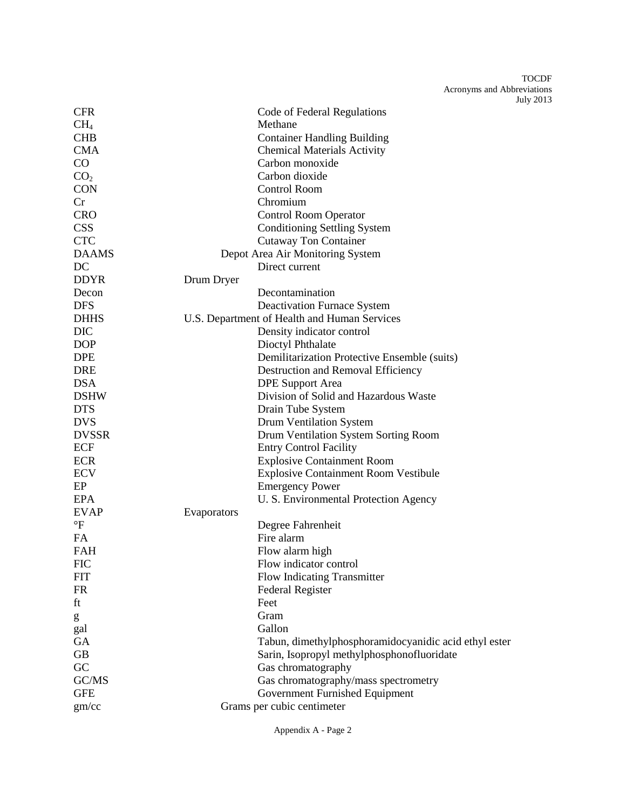| <b>CFR</b>      | Code of Federal Regulations                           |
|-----------------|-------------------------------------------------------|
| CH <sub>4</sub> | Methane                                               |
| <b>CHB</b>      | <b>Container Handling Building</b>                    |
| <b>CMA</b>      | <b>Chemical Materials Activity</b>                    |
| $\rm CO$        | Carbon monoxide                                       |
| CO <sub>2</sub> | Carbon dioxide                                        |
| <b>CON</b>      | <b>Control Room</b>                                   |
| Cr              | Chromium                                              |
| <b>CRO</b>      | <b>Control Room Operator</b>                          |
| <b>CSS</b>      | <b>Conditioning Settling System</b>                   |
| <b>CTC</b>      | <b>Cutaway Ton Container</b>                          |
| <b>DAAMS</b>    | Depot Area Air Monitoring System                      |
| DC              | Direct current                                        |
| <b>DDYR</b>     | Drum Dryer                                            |
| Decon           | Decontamination                                       |
| <b>DFS</b>      | <b>Deactivation Furnace System</b>                    |
| <b>DHHS</b>     | U.S. Department of Health and Human Services          |
| <b>DIC</b>      | Density indicator control                             |
| <b>DOP</b>      | Dioctyl Phthalate                                     |
| <b>DPE</b>      | Demilitarization Protective Ensemble (suits)          |
| <b>DRE</b>      | Destruction and Removal Efficiency                    |
| <b>DSA</b>      | <b>DPE Support Area</b>                               |
| <b>DSHW</b>     | Division of Solid and Hazardous Waste                 |
| <b>DTS</b>      | Drain Tube System                                     |
| <b>DVS</b>      | Drum Ventilation System                               |
| <b>DVSSR</b>    | Drum Ventilation System Sorting Room                  |
| ECF             | <b>Entry Control Facility</b>                         |
| <b>ECR</b>      | <b>Explosive Containment Room</b>                     |
| <b>ECV</b>      | Explosive Containment Room Vestibule                  |
| EP              | <b>Emergency Power</b>                                |
| EPA             | U. S. Environmental Protection Agency                 |
| <b>EVAP</b>     | Evaporators                                           |
| $\mathrm{P}$    | Degree Fahrenheit                                     |
| <b>FA</b>       | Fire alarm                                            |
| <b>FAH</b>      | Flow alarm high                                       |
| <b>FIC</b>      | Flow indicator control                                |
| <b>FIT</b>      | <b>Flow Indicating Transmitter</b>                    |
| <b>FR</b>       | Federal Register                                      |
| ft              | Feet                                                  |
| g               | Gram                                                  |
| gal             | Gallon                                                |
| <b>GA</b>       | Tabun, dimethylphosphoramidocyanidic acid ethyl ester |
| GB              | Sarin, Isopropyl methylphosphonofluoridate            |
| GC              | Gas chromatography                                    |
| GC/MS           | Gas chromatography/mass spectrometry                  |
| <b>GFE</b>      | Government Furnished Equipment                        |
| gm/cc           | Grams per cubic centimeter                            |
|                 |                                                       |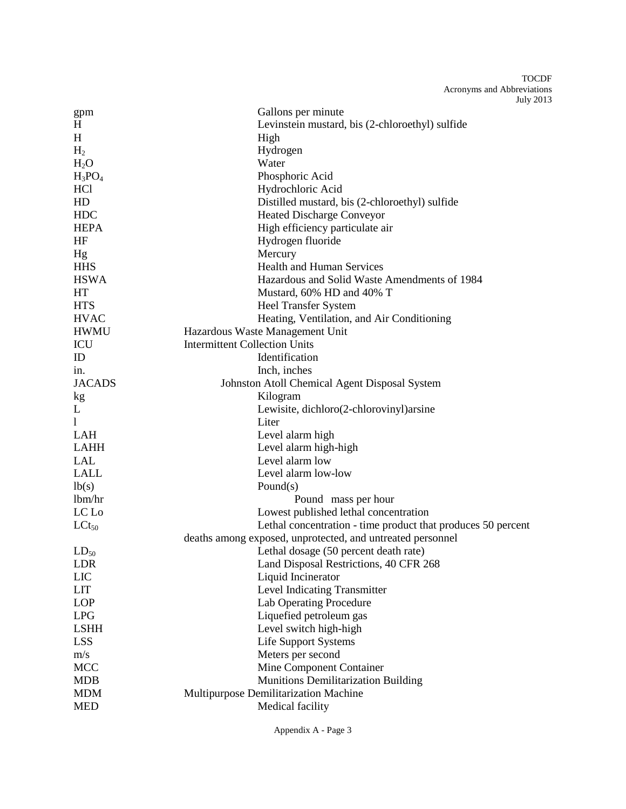| gpm              | Gallons per minute                                           |
|------------------|--------------------------------------------------------------|
| H                | Levinstein mustard, bis (2-chloroethyl) sulfide              |
| H                | High                                                         |
| H <sub>2</sub>   | Hydrogen                                                     |
| H <sub>2</sub> O | Water                                                        |
| $H_3PO_4$        | Phosphoric Acid                                              |
| HC1              | Hydrochloric Acid                                            |
| HD               | Distilled mustard, bis (2-chloroethyl) sulfide               |
| <b>HDC</b>       | <b>Heated Discharge Conveyor</b>                             |
| <b>HEPA</b>      | High efficiency particulate air                              |
| HF               | Hydrogen fluoride                                            |
| Hg               | Mercury                                                      |
| <b>HHS</b>       | <b>Health and Human Services</b>                             |
| <b>HSWA</b>      | Hazardous and Solid Waste Amendments of 1984                 |
| HT               | Mustard, 60% HD and 40% T                                    |
| <b>HTS</b>       | <b>Heel Transfer System</b>                                  |
| <b>HVAC</b>      | Heating, Ventilation, and Air Conditioning                   |
| <b>HWMU</b>      | Hazardous Waste Management Unit                              |
| ICU              | <b>Intermittent Collection Units</b>                         |
| ID               | Identification                                               |
| in.              | Inch, inches                                                 |
| <b>JACADS</b>    | Johnston Atoll Chemical Agent Disposal System                |
| kg               | Kilogram                                                     |
| L                | Lewisite, dichloro(2-chlorovinyl) arsine                     |
| 1                | Liter                                                        |
| <b>LAH</b>       | Level alarm high                                             |
| <b>LAHH</b>      | Level alarm high-high                                        |
| <b>LAL</b>       | Level alarm low                                              |
| <b>LALL</b>      | Level alarm low-low                                          |
| lb(s)            | Pound $(s)$                                                  |
| lbm/hr           | Pound mass per hour                                          |
| LC Lo            | Lowest published lethal concentration                        |
| $LCt_{50}$       | Lethal concentration - time product that produces 50 percent |
|                  | deaths among exposed, unprotected, and untreated personnel   |
| $LD_{50}$        | Lethal dosage (50 percent death rate)                        |
| LDR              | Land Disposal Restrictions, 40 CFR 268                       |
| LIC              | Liquid Incinerator                                           |
| <b>LIT</b>       | Level Indicating Transmitter                                 |
| <b>LOP</b>       | <b>Lab Operating Procedure</b>                               |
| <b>LPG</b>       | Liquefied petroleum gas                                      |
| <b>LSHH</b>      | Level switch high-high                                       |
| <b>LSS</b>       | <b>Life Support Systems</b>                                  |
| m/s              | Meters per second                                            |
| <b>MCC</b>       | Mine Component Container                                     |
| <b>MDB</b>       | Munitions Demilitarization Building                          |
| <b>MDM</b>       | Multipurpose Demilitarization Machine                        |
| <b>MED</b>       | Medical facility                                             |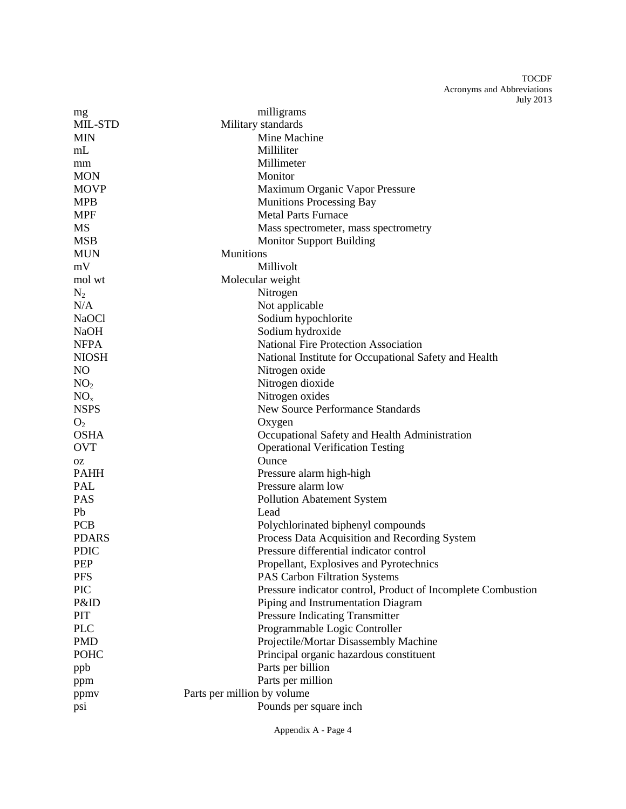| mg              | milligrams                                                   |
|-----------------|--------------------------------------------------------------|
| MIL-STD         | Military standards                                           |
| <b>MIN</b>      | Mine Machine                                                 |
| mL              | Milliliter                                                   |
| mm              | Millimeter                                                   |
| <b>MON</b>      | Monitor                                                      |
| <b>MOVP</b>     | Maximum Organic Vapor Pressure                               |
| <b>MPB</b>      | <b>Munitions Processing Bay</b>                              |
| <b>MPF</b>      | <b>Metal Parts Furnace</b>                                   |
| <b>MS</b>       | Mass spectrometer, mass spectrometry                         |
| <b>MSB</b>      | <b>Monitor Support Building</b>                              |
| <b>MUN</b>      | <b>Munitions</b>                                             |
| mV              | Millivolt                                                    |
| mol wt          | Molecular weight                                             |
| $N_2$           | Nitrogen                                                     |
| N/A             | Not applicable                                               |
| <b>NaOCl</b>    | Sodium hypochlorite                                          |
| <b>NaOH</b>     | Sodium hydroxide                                             |
| <b>NFPA</b>     | <b>National Fire Protection Association</b>                  |
| <b>NIOSH</b>    | National Institute for Occupational Safety and Health        |
| NO              | Nitrogen oxide                                               |
| NO <sub>2</sub> | Nitrogen dioxide                                             |
| NO <sub>x</sub> | Nitrogen oxides                                              |
| <b>NSPS</b>     | <b>New Source Performance Standards</b>                      |
| O <sub>2</sub>  | Oxygen                                                       |
| <b>OSHA</b>     | Occupational Safety and Health Administration                |
| <b>OVT</b>      | <b>Operational Verification Testing</b>                      |
| OZ              | Ounce                                                        |
| <b>PAHH</b>     | Pressure alarm high-high                                     |
| <b>PAL</b>      | Pressure alarm low                                           |
| <b>PAS</b>      | <b>Pollution Abatement System</b>                            |
| Pb              | Lead                                                         |
| <b>PCB</b>      | Polychlorinated biphenyl compounds                           |
| <b>PDARS</b>    | Process Data Acquisition and Recording System                |
| <b>PDIC</b>     | Pressure differential indicator control                      |
| PEP             | Propellant, Explosives and Pyrotechnics                      |
| <b>PFS</b>      | <b>PAS Carbon Filtration Systems</b>                         |
| PIC             | Pressure indicator control, Product of Incomplete Combustion |
| P&ID            | Piping and Instrumentation Diagram                           |
| PIT             | Pressure Indicating Transmitter                              |
| <b>PLC</b>      | Programmable Logic Controller                                |
| <b>PMD</b>      | Projectile/Mortar Disassembly Machine                        |
| <b>POHC</b>     | Principal organic hazardous constituent                      |
| ppb             | Parts per billion                                            |
| ppm             | Parts per million                                            |
| ppmv            | Parts per million by volume                                  |
| psi             | Pounds per square inch                                       |

Appendix A - Page 4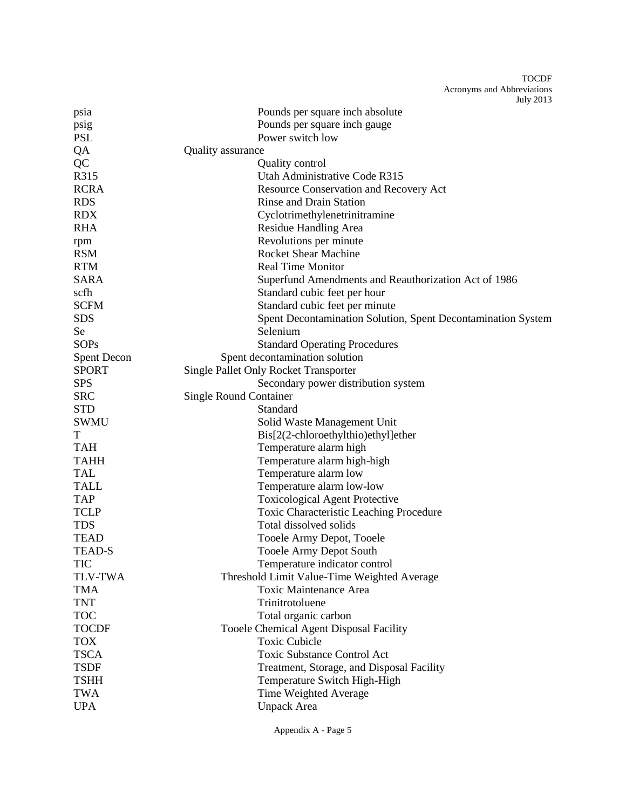| psia               | Pounds per square inch absolute                              |
|--------------------|--------------------------------------------------------------|
| psig               | Pounds per square inch gauge                                 |
| <b>PSL</b>         | Power switch low                                             |
| QA                 | Quality assurance                                            |
| QC                 | <b>Quality control</b>                                       |
| R315               | Utah Administrative Code R315                                |
| <b>RCRA</b>        | Resource Conservation and Recovery Act                       |
| <b>RDS</b>         | <b>Rinse and Drain Station</b>                               |
| <b>RDX</b>         | Cyclotrimethylenetrinitramine                                |
| <b>RHA</b>         | Residue Handling Area                                        |
| rpm                | Revolutions per minute                                       |
| <b>RSM</b>         | <b>Rocket Shear Machine</b>                                  |
| <b>RTM</b>         | <b>Real Time Monitor</b>                                     |
| <b>SARA</b>        | Superfund Amendments and Reauthorization Act of 1986         |
| scfh               | Standard cubic feet per hour                                 |
| <b>SCFM</b>        | Standard cubic feet per minute                               |
| <b>SDS</b>         | Spent Decontamination Solution, Spent Decontamination System |
| Se                 | Selenium                                                     |
| <b>SOPs</b>        | <b>Standard Operating Procedures</b>                         |
| <b>Spent Decon</b> | Spent decontamination solution                               |
| <b>SPORT</b>       | <b>Single Pallet Only Rocket Transporter</b>                 |
| <b>SPS</b>         | Secondary power distribution system                          |
| <b>SRC</b>         | <b>Single Round Container</b>                                |
| <b>STD</b>         | Standard                                                     |
| <b>SWMU</b>        | Solid Waste Management Unit                                  |
| T                  | Bis[2(2-chloroethylthio)ethyl]ether                          |
| <b>TAH</b>         | Temperature alarm high                                       |
| <b>TAHH</b>        | Temperature alarm high-high                                  |
| <b>TAL</b>         | Temperature alarm low                                        |
| <b>TALL</b>        | Temperature alarm low-low                                    |
| <b>TAP</b>         | <b>Toxicological Agent Protective</b>                        |
| <b>TCLP</b>        | Toxic Characteristic Leaching Procedure                      |
| <b>TDS</b>         | Total dissolved solids                                       |
| <b>TEAD</b>        | Tooele Army Depot, Tooele                                    |
| <b>TEAD-S</b>      | <b>Tooele Army Depot South</b>                               |
| <b>TIC</b>         | Temperature indicator control                                |
| <b>TLV-TWA</b>     | Threshold Limit Value-Time Weighted Average                  |
| <b>TMA</b>         | <b>Toxic Maintenance Area</b>                                |
| <b>TNT</b>         | Trinitrotoluene                                              |
| <b>TOC</b>         | Total organic carbon                                         |
| <b>TOCDF</b>       | Tooele Chemical Agent Disposal Facility                      |
| <b>TOX</b>         | <b>Toxic Cubicle</b>                                         |
| <b>TSCA</b>        | <b>Toxic Substance Control Act</b>                           |
| <b>TSDF</b>        | Treatment, Storage, and Disposal Facility                    |
| <b>TSHH</b>        | Temperature Switch High-High                                 |
| <b>TWA</b>         | Time Weighted Average                                        |
| <b>UPA</b>         | <b>Unpack Area</b>                                           |
|                    |                                                              |

Appendix A - Page 5